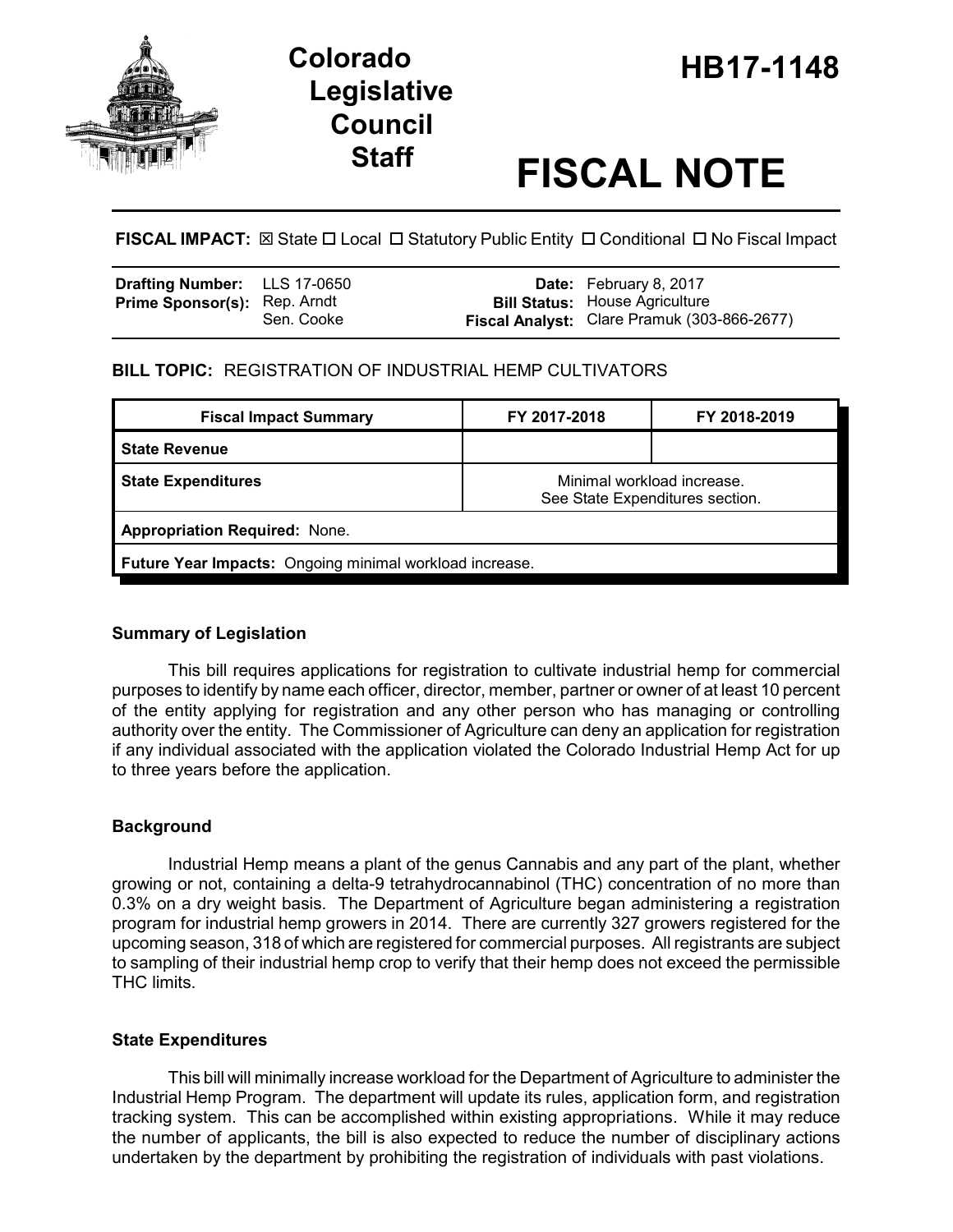

# **HB17-1148 Colorado Legislative Council**

# **Staff FISCAL NOTE**

**FISCAL IMPACT:** ⊠ State □ Local □ Statutory Public Entity □ Conditional □ No Fiscal Impact

| Drafting Number: LLS 17-0650        |            | <b>Date:</b> February 8, 2017                                                        |
|-------------------------------------|------------|--------------------------------------------------------------------------------------|
| <b>Prime Sponsor(s): Rep. Arndt</b> | Sen. Cooke | <b>Bill Status: House Agriculture</b><br>Fiscal Analyst: Clare Pramuk (303-866-2677) |

# **BILL TOPIC:** REGISTRATION OF INDUSTRIAL HEMP CULTIVATORS

| <b>Fiscal Impact Summary</b>                            | FY 2017-2018                                                  | FY 2018-2019 |  |  |  |
|---------------------------------------------------------|---------------------------------------------------------------|--------------|--|--|--|
| <b>State Revenue</b>                                    |                                                               |              |  |  |  |
| <b>State Expenditures</b>                               | Minimal workload increase.<br>See State Expenditures section. |              |  |  |  |
| <b>Appropriation Required: None.</b>                    |                                                               |              |  |  |  |
| Future Year Impacts: Ongoing minimal workload increase. |                                                               |              |  |  |  |

## **Summary of Legislation**

This bill requires applications for registration to cultivate industrial hemp for commercial purposes to identify by name each officer, director, member, partner or owner of at least 10 percent of the entity applying for registration and any other person who has managing or controlling authority over the entity. The Commissioner of Agriculture can deny an application for registration if any individual associated with the application violated the Colorado Industrial Hemp Act for up to three years before the application.

## **Background**

Industrial Hemp means a plant of the genus Cannabis and any part of the plant, whether growing or not, containing a delta-9 tetrahydrocannabinol (THC) concentration of no more than 0.3% on a dry weight basis. The Department of Agriculture began administering a registration program for industrial hemp growers in 2014. There are currently 327 growers registered for the upcoming season, 318 of which are registered for commercial purposes. All registrants are subject to sampling of their industrial hemp crop to verify that their hemp does not exceed the permissible THC limits.

#### **State Expenditures**

This bill will minimally increase workload for the Department of Agriculture to administer the Industrial Hemp Program. The department will update its rules, application form, and registration tracking system. This can be accomplished within existing appropriations. While it may reduce the number of applicants, the bill is also expected to reduce the number of disciplinary actions undertaken by the department by prohibiting the registration of individuals with past violations.